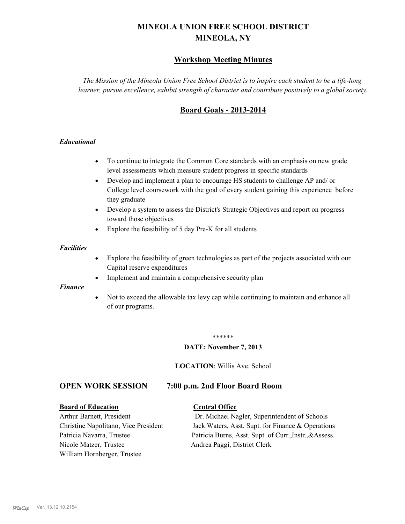# **MINEOLA UNION FREE SCHOOL DISTRICT MINEOLA, NY**

# **Workshop Meeting Minutes**

*The Mission of the Mineola Union Free School District is to inspire each student to be a life-long learner, pursue excellence, exhibit strength of character and contribute positively to a global society.*

# **Board Goals - 2013-2014**

### *Educational*

- · To continue to integrate the Common Core standards with an emphasis on new grade level assessments which measure student progress in specific standards
- · Develop and implement a plan to encourage HS students to challenge AP and/ or College level coursework with the goal of every student gaining this experience before they graduate
- Develop a system to assess the District's Strategic Objectives and report on progress toward those objectives
- · Explore the feasibility of 5 day Pre-K for all students

#### *Facilities*

- · Explore the feasibility of green technologies as part of the projects associated with our Capital reserve expenditures
- Implement and maintain a comprehensive security plan

#### *Finance*

• Not to exceed the allowable tax levy cap while continuing to maintain and enhance all of our programs.

#### \*\*\*\*\*\*

#### **DATE: November 7, 2013**

**LOCATION**: Willis Ave. School

# **OPEN WORK SESSION 7:00 p.m. 2nd Floor Board Room**

#### **Board of Education Central Office**

Nicole Matzer, Trustee Andrea Paggi, District Clerk William Hornberger, Trustee

Arthur Barnett, President Dr. Michael Nagler, Superintendent of Schools Christine Napolitano, Vice President Jack Waters, Asst. Supt. for Finance & Operations Patricia Navarra, Trustee Patricia Burns, Asst. Supt. of Curr., Instr., &Assess.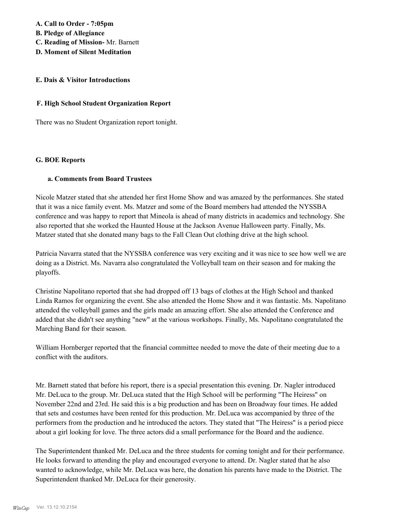**A. Call to Order - 7:05pm B. Pledge of Allegiance C. Reading of Mission-** Mr. Barnett **D. Moment of Silent Meditation**

#### **E. Dais & Visitor Introductions**

#### **F. High School Student Organization Report**

There was no Student Organization report tonight.

#### **G. BOE Reports**

#### **a. Comments from Board Trustees**

Nicole Matzer stated that she attended her first Home Show and was amazed by the performances. She stated that it was a nice family event. Ms. Matzer and some of the Board members had attended the NYSSBA conference and was happy to report that Mineola is ahead of many districts in academics and technology. She also reported that she worked the Haunted House at the Jackson Avenue Halloween party. Finally, Ms. Matzer stated that she donated many bags to the Fall Clean Out clothing drive at the high school.

Patricia Navarra stated that the NYSSBA conference was very exciting and it was nice to see how well we are doing as a District. Ms. Navarra also congratulated the Volleyball team on their season and for making the playoffs.

Christine Napolitano reported that she had dropped off 13 bags of clothes at the High School and thanked Linda Ramos for organizing the event. She also attended the Home Show and it was fantastic. Ms. Napolitano attended the volleyball games and the girls made an amazing effort. She also attended the Conference and added that she didn't see anything "new" at the various workshops. Finally, Ms. Napolitano congratulated the Marching Band for their season.

William Hornberger reported that the financial committee needed to move the date of their meeting due to a conflict with the auditors.

Mr. Barnett stated that before his report, there is a special presentation this evening. Dr. Nagler introduced Mr. DeLuca to the group. Mr. DeLuca stated that the High School will be performing "The Heiress" on November 22nd and 23rd. He said this is a big production and has been on Broadway four times. He added that sets and costumes have been rented for this production. Mr. DeLuca was accompanied by three of the performers from the production and he introduced the actors. They stated that "The Heiress" is a period piece about a girl looking for love. The three actors did a small performance for the Board and the audience.

The Superintendent thanked Mr. DeLuca and the three students for coming tonight and for their performance. He looks forward to attending the play and encouraged everyone to attend. Dr. Nagler stated that he also wanted to acknowledge, while Mr. DeLuca was here, the donation his parents have made to the District. The Superintendent thanked Mr. DeLuca for their generosity.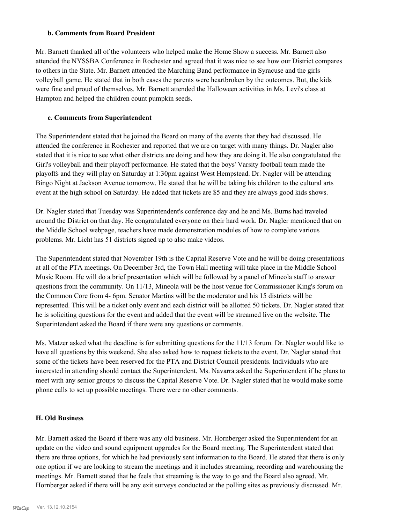#### **b. Comments from Board President**

Mr. Barnett thanked all of the volunteers who helped make the Home Show a success. Mr. Barnett also attended the NYSSBA Conference in Rochester and agreed that it was nice to see how our District compares to others in the State. Mr. Barnett attended the Marching Band performance in Syracuse and the girls volleyball game. He stated that in both cases the parents were heartbroken by the outcomes. But, the kids were fine and proud of themselves. Mr. Barnett attended the Halloween activities in Ms. Levi's class at Hampton and helped the children count pumpkin seeds.

### **c. Comments from Superintendent**

The Superintendent stated that he joined the Board on many of the events that they had discussed. He attended the conference in Rochester and reported that we are on target with many things. Dr. Nagler also stated that it is nice to see what other districts are doing and how they are doing it. He also congratulated the Girl's volleyball and their playoff performance. He stated that the boys' Varsity football team made the playoffs and they will play on Saturday at 1:30pm against West Hempstead. Dr. Nagler will be attending Bingo Night at Jackson Avenue tomorrow. He stated that he will be taking his children to the cultural arts event at the high school on Saturday. He added that tickets are \$5 and they are always good kids shows.

Dr. Nagler stated that Tuesday was Superintendent's conference day and he and Ms. Burns had traveled around the District on that day. He congratulated everyone on their hard work. Dr. Nagler mentioned that on the Middle School webpage, teachers have made demonstration modules of how to complete various problems. Mr. Licht has 51 districts signed up to also make videos.

The Superintendent stated that November 19th is the Capital Reserve Vote and he will be doing presentations at all of the PTA meetings. On December 3rd, the Town Hall meeting will take place in the Middle School Music Room. He will do a brief presentation which will be followed by a panel of Mineola staff to answer questions from the community. On 11/13, Mineola will be the host venue for Commissioner King's forum on the Common Core from 4- 6pm. Senator Martins will be the moderator and his 15 districts will be represented. This will be a ticket only event and each district will be allotted 50 tickets. Dr. Nagler stated that he is soliciting questions for the event and added that the event will be streamed live on the website. The Superintendent asked the Board if there were any questions or comments.

Ms. Matzer asked what the deadline is for submitting questions for the 11/13 forum. Dr. Nagler would like to have all questions by this weekend. She also asked how to request tickets to the event. Dr. Nagler stated that some of the tickets have been reserved for the PTA and District Council presidents. Individuals who are interested in attending should contact the Superintendent. Ms. Navarra asked the Superintendent if he plans to meet with any senior groups to discuss the Capital Reserve Vote. Dr. Nagler stated that he would make some phone calls to set up possible meetings. There were no other comments.

### **H. Old Business**

Mr. Barnett asked the Board if there was any old business. Mr. Hornberger asked the Superintendent for an update on the video and sound equipment upgrades for the Board meeting. The Superintendent stated that there are three options, for which he had previously sent information to the Board. He stated that there is only one option if we are looking to stream the meetings and it includes streaming, recording and warehousing the meetings. Mr. Barnett stated that he feels that streaming is the way to go and the Board also agreed. Mr. Hornberger asked if there will be any exit surveys conducted at the polling sites as previously discussed. Mr.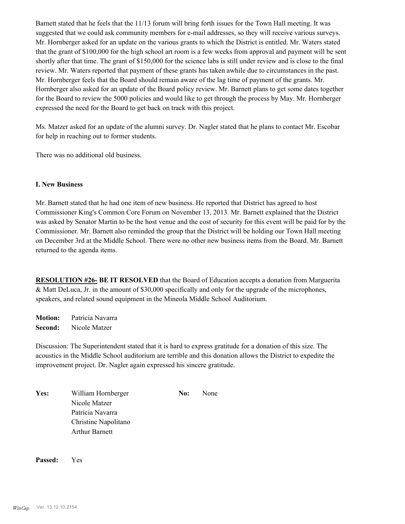Barnett stated that he feels that the 11/13 forum will bring forth issues for the Town Hall meeting. It was suggested that we could ask community members for e-mail addresses, so they will receive various surveys. Mr. Hornberger asked for an update on the various grants to which the District is entitled. Mr. Waters stated that the grant of \$100,000 for the high school art room is a few weeks from approval and payment will be sent shortly after that time. The grant of \$150,000 for the science labs is still under review and is close to the final review. Mr. Waters reported that payment of these grants has taken awhile due to circumstances in the past. Mr. Hornberger feels that the Board should remain aware of the lag time of payment of the grants. Mr. Hornberger also asked for an update of the Board policy review. Mr. Barnett plans to get some dates together for the Board to review the 5000 policies and would like to get through the process by May. Mr. Hornberger expressed the need for the Board to get back on track with this project.

Ms. Matzer asked for an update of the alumni survey. Dr. Nagler stated that he plans to contact Mr. Escobar for help in reaching out to former students.

There was no additional old business.

### **I. New Business**

Mr. Barnett stated that he had one item of new business. He reported that District has agreed to host Commissioner King's Common Core Forum on November 13, 2013. Mr. Barnett explained that the District was asked by Senator Martin to be the host venue and the cost of security for this event will be paid for by the Commissioner. Mr. Barnett also reminded the group that the District will be holding our Town Hall meeting on December 3rd at the Middle School. There were no other new business items from the Board. Mr. Barnett returned to the agenda items.

**RESOLUTION #26- BE IT RESOLVED** that the Board of Education accepts a donation from Marguerita & Matt DeLuca, Jr. in the amount of \$30,000 specifically and only for the upgrade of the microphones, speakers, and related sound equipment in the Mineola Middle School Auditorium.

**Motion:** Patricia Navarra **Second:** Nicole Matzer

Discussion: The Superintendent stated that it is hard to express gratitude for a donation of this size. The acoustics in the Middle School auditorium are terrible and this donation allows the District to expedite the improvement project. Dr. Nagler again expressed his sincere gratitude.

| Yes: | William Hornberger    | No: | None |
|------|-----------------------|-----|------|
|      | Nicole Matzer         |     |      |
|      | Patricia Navarra      |     |      |
|      | Christine Napolitano  |     |      |
|      | <b>Arthur Barnett</b> |     |      |

**Passed:** Yes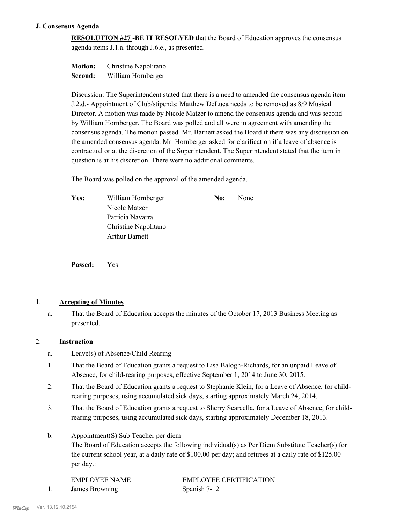#### **J. Consensus Agenda**

**RESOLUTION #27 -BE IT RESOLVED** that the Board of Education approves the consensus agenda items J.1.a. through J.6.e., as presented.

**Motion:** Christine Napolitano **Second:** William Hornberger

Discussion: The Superintendent stated that there is a need to amended the consensus agenda item J.2.d.- Appointment of Club/stipends: Matthew DeLuca needs to be removed as 8/9 Musical Director. A motion was made by Nicole Matzer to amend the consensus agenda and was second by William Hornberger. The Board was polled and all were in agreement with amending the consensus agenda. The motion passed. Mr. Barnett asked the Board if there was any discussion on the amended consensus agenda. Mr. Hornberger asked for clarification if a leave of absence is contractual or at the discretion of the Superintendent. The Superintendent stated that the item in question is at his discretion. There were no additional comments.

The Board was polled on the approval of the amended agenda.

Yes: William Hornberger **No:** None Nicole Matzer Patricia Navarra Christine Napolitano Arthur Barnett

**Passed:** Yes

## 1. **Accepting of Minutes**

That the Board of Education accepts the minutes of the October 17, 2013 Business Meeting as presented. a.

#### 2. **Instruction**

- a. Leave(s) of Absence/Child Rearing
- That the Board of Education grants a request to Lisa Balogh-Richards, for an unpaid Leave of Absence, for child-rearing purposes, effective September 1, 2014 to June 30, 2015. 1.
- That the Board of Education grants a request to Stephanie Klein, for a Leave of Absence, for childrearing purposes, using accumulated sick days, starting approximately March 24, 2014. 2.
- That the Board of Education grants a request to Sherry Scarcella, for a Leave of Absence, for childrearing purposes, using accumulated sick days, starting approximately December 18, 2013. 3.
- Appointment(S) Sub Teacher per diem b.

The Board of Education accepts the following individual(s) as Per Diem Substitute Teacher(s) for the current school year, at a daily rate of \$100.00 per day; and retirees at a daily rate of \$125.00 per day.:

1. James Browning Spanish 7-12

EMPLOYEE NAME EMPLOYEE CERTIFICATION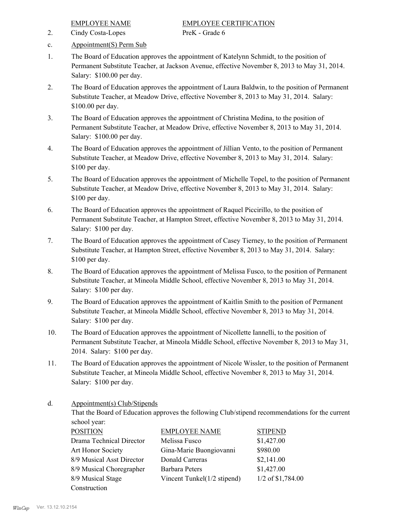2. Cindy Costa-Lopes PreK - Grade 6

- c. Appointment(S) Perm Sub
- The Board of Education approves the appointment of Katelynn Schmidt, to the position of Permanent Substitute Teacher, at Jackson Avenue, effective November 8, 2013 to May 31, 2014. Salary: \$100.00 per day. 1.
- The Board of Education approves the appointment of Laura Baldwin, to the position of Permanent Substitute Teacher, at Meadow Drive, effective November 8, 2013 to May 31, 2014. Salary: \$100.00 per day. 2.
- The Board of Education approves the appointment of Christina Medina, to the position of Permanent Substitute Teacher, at Meadow Drive, effective November 8, 2013 to May 31, 2014. Salary: \$100.00 per day. 3.
- The Board of Education approves the appointment of Jillian Vento, to the position of Permanent Substitute Teacher, at Meadow Drive, effective November 8, 2013 to May 31, 2014. Salary: \$100 per day. 4.
- The Board of Education approves the appointment of Michelle Topel, to the position of Permanent Substitute Teacher, at Meadow Drive, effective November 8, 2013 to May 31, 2014. Salary: \$100 per day. 5.
- The Board of Education approves the appointment of Raquel Piccirillo, to the position of Permanent Substitute Teacher, at Hampton Street, effective November 8, 2013 to May 31, 2014. Salary: \$100 per day. 6.
- The Board of Education approves the appointment of Casey Tierney, to the position of Permanent Substitute Teacher, at Hampton Street, effective November 8, 2013 to May 31, 2014. Salary: \$100 per day. 7.
- The Board of Education approves the appointment of Melissa Fusco, to the position of Permanent Substitute Teacher, at Mineola Middle School, effective November 8, 2013 to May 31, 2014. Salary: \$100 per day. 8.
- The Board of Education approves the appointment of Kaitlin Smith to the position of Permanent Substitute Teacher, at Mineola Middle School, effective November 8, 2013 to May 31, 2014. Salary: \$100 per day. 9.
- The Board of Education approves the appointment of Nicollette Iannelli, to the position of Permanent Substitute Teacher, at Mineola Middle School, effective November 8, 2013 to May 31, 2014. Salary: \$100 per day. 10.
- The Board of Education approves the appointment of Nicole Wissler, to the position of Permanent Substitute Teacher, at Mineola Middle School, effective November 8, 2013 to May 31, 2014. Salary: \$100 per day. 11.

Appointment(s) Club/Stipends d.

> That the Board of Education approves the following Club/stipend recommendations for the current school year:

| <b>POSITION</b>           | <b>EMPLOYEE NAME</b>        | <b>STIPEND</b>      |
|---------------------------|-----------------------------|---------------------|
| Drama Technical Director  | Melissa Fusco               | \$1,427.00          |
| Art Honor Society         | Gina-Marie Buongiovanni     | \$980.00            |
| 8/9 Musical Asst Director | Donald Carreras             | \$2,141.00          |
| 8/9 Musical Choregrapher  | Barbara Peters              | \$1,427.00          |
| 8/9 Musical Stage         | Vincent Tunkel(1/2 stipend) | $1/2$ of \$1,784.00 |
| Construction              |                             |                     |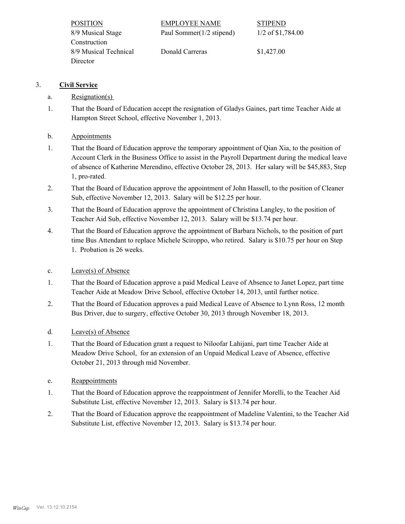| <b>POSITION</b>       | EMPLOYEE NAME             | <b>STIPEND</b>      |
|-----------------------|---------------------------|---------------------|
| 8/9 Musical Stage     | Paul Sommer (1/2 stipend) | $1/2$ of \$1,784.00 |
| Construction          |                           |                     |
| 8/9 Musical Technical | Donald Carreras           | \$1,427.00          |
| Director              |                           |                     |

# 3. **Civil Service**

- a. Resignation(s)
- That the Board of Education accept the resignation of Gladys Gaines, part time Teacher Aide at Hampton Street School, effective November 1, 2013. 1.
- b. Appointments
- That the Board of Education approve the temporary appointment of Qian Xia, to the position of Account Clerk in the Business Office to assist in the Payroll Department during the medical leave of absence of Katherine Merendino, effective October 28, 2013. Her salary will be \$45,883, Step 1, pro-rated. 1.
- That the Board of Education approve the appointment of John Hassell, to the position of Cleaner Sub, effective November 12, 2013. Salary will be \$12.25 per hour. 2.
- That the Board of Education approve the appointment of Christina Langley, to the position of Teacher Aid Sub, effective November 12, 2013. Salary will be \$13.74 per hour. 3.
- That the Board of Education approve the appointment of Barbara Nichols, to the position of part time Bus Attendant to replace Michele Sciroppo, who retired. Salary is \$10.75 per hour on Step 1. Probation is 26 weeks. 4.
- c. Leave(s) of Absence
- That the Board of Education approve a paid Medical Leave of Absence to Janet Lopez, part time Teacher Aide at Meadow Drive School, effective October 14, 2013, until further notice. 1.
- That the Board of Education approves a paid Medical Leave of Absence to Lynn Ross, 12 month Bus Driver, due to surgery, effective October 30, 2013 through November 18, 2013. 2.
- d. Leave(s) of Absence
- That the Board of Education grant a request to Niloofar Lahijani, part time Teacher Aide at Meadow Drive School, for an extension of an Unpaid Medical Leave of Absence, effective October 21, 2013 through mid November. 1.
- e. Reappointments
- That the Board of Education approve the reappointment of Jennifer Morelli, to the Teacher Aid Substitute List, effective November 12, 2013. Salary is \$13.74 per hour. 1.
- That the Board of Education approve the reappointment of Madeline Valentini, to the Teacher Aid Substitute List, effective November 12, 2013. Salary is \$13.74 per hour. 2.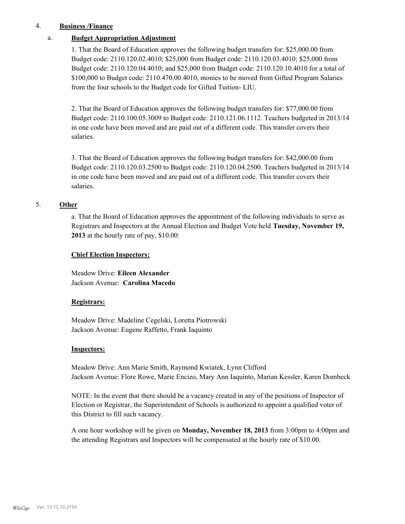#### 4. **Business /Finance**

#### a. **Budget Appropriation Adjustment**

1. That the Board of Education approves the following budget transfers for: \$25,000.00 from Budget code: 2110.120.02.4010; \$25,000 from Budget code: 2110.120.03.4010; \$25,000 from Budget code: 2110.120.04.4010; and \$25,000 from Budget code: 2110.120.10.4010 for a total of \$100,000 to Budget code: 2110.470.00.4010, monies to be moved from Gifted Program Salaries from the four schools to the Budget code for Gifted Tuition- LIU.

2. That the Board of Education approves the following budget transfers for: \$77,000.00 from Budget code: 2110.100.05.3009 to Budget code: 2110.121.06.1112. Teachers budgeted in 2013/14 in one code have been moved and are paid out of a different code. This transfer covers their salaries.

3. That the Board of Education approves the following budget transfers for: \$42,000.00 from Budget code: 2110.120.03.2500 to Budget code: 2110.120.04.2500. Teachers budgeted in 2013/14 in one code have been moved and are paid out of a different code. This transfer covers their salaries.

#### 5. **Other**

a. That the Board of Education approves the appointment of the following individuals to serve as Registrars and Inspectors at the Annual Election and Budget Vote held **Tuesday, November 19, 2013** at the hourly rate of pay, \$10.00:

#### **Chief Election Inspectors:**

Meadow Drive: **Eileen Alexander**  Jackson Avenue: **Carolina Macedo**

#### **Registrars:**

Meadow Drive: Madeline Cegelski, Loretta Piotrowski Jackson Avenue: Eugene Raffetto, Frank Iaquinto

#### **Inspectors:**

Meadow Drive: Ann Marie Smith, Raymond Kwiatek, Lynn Clifford Jackson Avenue: Flore Rowe, Marie Encizo, Mary Ann Iaquinto, Marian Kessler, Karen Dombeck

NOTE: In the event that there should be a vacancy created in any of the positions of Inspector of Election or Registrar, the Superintendent of Schools is authorized to appoint a qualified voter of this District to fill such vacancy.

A one hour workshop will be given on **Monday, November 18, 2013** from 3:00pm to 4:00pm and the attending Registrars and Inspectors will be compensated at the hourly rate of \$10.00.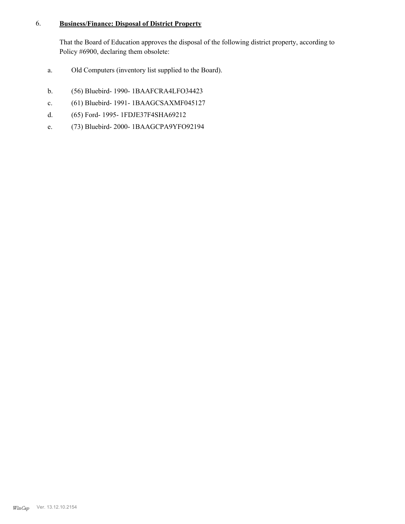#### **Business/Finance: Disposal of District Property** 6.

That the Board of Education approves the disposal of the following district property, according to Policy #6900, declaring them obsolete:

- a. Old Computers (inventory list supplied to the Board).
- b. (56) Bluebird- 1990- 1BAAFCRA4LFO34423
- c. (61) Bluebird- 1991- 1BAAGCSAXMF045127
- d. (65) Ford- 1995- 1FDJE37F4SHA69212
- e. (73) Bluebird- 2000- 1BAAGCPA9YFO92194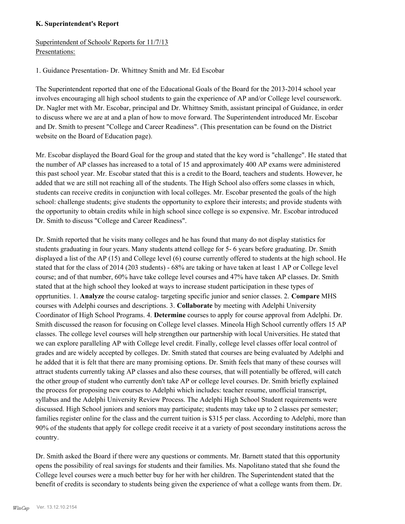### **K. Superintendent's Report**

# Superintendent of Schools' Reports for 11/7/13 Presentations:

1. Guidance Presentation- Dr. Whittney Smith and Mr. Ed Escobar

The Superintendent reported that one of the Educational Goals of the Board for the 2013-2014 school year involves encouraging all high school students to gain the experience of AP and/or College level coursework. Dr. Nagler met with Mr. Escobar, principal and Dr. Whittney Smith, assistant principal of Guidance, in order to discuss where we are at and a plan of how to move forward. The Superintendent introduced Mr. Escobar and Dr. Smith to present "College and Career Readiness". (This presentation can be found on the District website on the Board of Education page).

Mr. Escobar displayed the Board Goal for the group and stated that the key word is "challenge". He stated that the number of AP classes has increased to a total of 15 and approximately 400 AP exams were administered this past school year. Mr. Escobar stated that this is a credit to the Board, teachers and students. However, he added that we are still not reaching all of the students. The High School also offers some classes in which, students can receive credits in conjunction with local colleges. Mr. Escobar presented the goals of the high school: challenge students; give students the opportunity to explore their interests; and provide students with the opportunity to obtain credits while in high school since college is so expensive. Mr. Escobar introduced Dr. Smith to discuss "College and Career Readiness".

Dr. Smith reported that he visits many colleges and he has found that many do not display statistics for students graduating in four years. Many students attend college for 5- 6 years before graduating. Dr. Smith displayed a list of the AP (15) and College level (6) course currently offered to students at the high school. He stated that for the class of 2014 (203 students) - 68% are taking or have taken at least 1 AP or College level course; and of that number, 60% have take college level courses and 47% have taken AP classes. Dr. Smith stated that at the high school they looked at ways to increase student participation in these types of opprtunities. 1. **Analyze** the course catalog- targeting specific junior and senior classes. 2. **Compare** MHS courses with Adelphi courses and descriptions. 3. **Collaborate** by meeting with Adelphi University Coordinator of High School Programs. 4. **Determine** courses to apply for course approval from Adelphi. Dr. Smith discussed the reason for focusing on College level classes. Mineola High School currently offers 15 AP classes. The college level courses will help strengthen our partnership with local Universities. He stated that we can explore paralleling AP with College level credit. Finally, college level classes offer local control of grades and are widely accepted by colleges. Dr. Smith stated that courses are being evaluated by Adelphi and he added that it is felt that there are many promising options. Dr. Smith feels that many of these courses will attract students currently taking AP classes and also these courses, that will potentially be offered, will catch the other group of student who currently don't take AP or college level courses. Dr. Smith briefly explained the process for proposing new courses to Adelphi which includes: teacher resume, unofficial transcript, syllabus and the Adelphi University Review Process. The Adelphi High School Student requirements were discussed. High School juniors and seniors may participate; students may take up to 2 classes per semester; families register online for the class and the current tuition is \$315 per class. According to Adelphi, more than 90% of the students that apply for college credit receive it at a variety of post secondary institutions across the country.

Dr. Smith asked the Board if there were any questions or comments. Mr. Barnett stated that this opportunity opens the possibility of real savings for students and their families. Ms. Napolitano stated that she found the College level courses were a much better buy for her with her children. The Superintendent stated that the benefit of credits is secondary to students being given the experience of what a college wants from them. Dr.